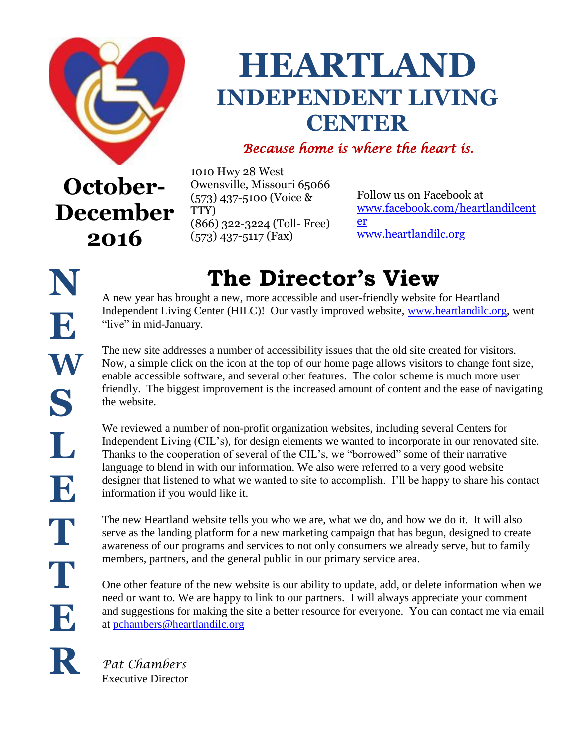

**2016** 

# **HEARTLAND INDEPENDENT LIVING CENTER**

### *Because home is where the heart is.*

**October-December** 1010 Hwy 28 West Owensville, Missouri 65066 (573) 437-5100 (Voice & TTY) (866) 322-3224 (Toll- Free) (573) 437-5117 (Fax)

Follow us on Facebook at [www.facebook.com/heartlandilcent](http://www.facebook.com/heartlandilcenter) [er](http://www.facebook.com/heartlandilcenter) [www.heartlandilc.org](http://www.heartlandilc.org/)

# **The Director's View**

A new year has brought a new, more accessible and user-friendly website for Heartland Independent Living Center (HILC)! Our vastly improved website, [www.heartlandilc.org,](http://www.heartlandilc.org/) went "live" in mid-January.

The new site addresses a number of accessibility issues that the old site created for visitors. Now, a simple click on the icon at the top of our home page allows visitors to change font size, enable accessible software, and several other features. The color scheme is much more user friendly. The biggest improvement is the increased amount of content and the ease of navigating the website.

We reviewed a number of non-profit organization websites, including several Centers for Independent Living (CIL's), for design elements we wanted to incorporate in our renovated site. Thanks to the cooperation of several of the CIL's, we "borrowed" some of their narrative language to blend in with our information. We also were referred to a very good website designer that listened to what we wanted to site to accomplish. I'll be happy to share his contact information if you would like it.

The new Heartland website tells you who we are, what we do, and how we do it. It will also serve as the landing platform for a new marketing campaign that has begun, designed to create awareness of our programs and services to not only consumers we already serve, but to family members, partners, and the general public in our primary service area.

One other feature of the new website is our ability to update, add, or delete information when we need or want to. We are happy to link to our partners. I will always appreciate your comment and suggestions for making the site a better resource for everyone. You can contact me via email at [pchambers@heartlandilc.org](mailto:pchambers@heartlandilc.org)

*Pat Chambers* Executive Director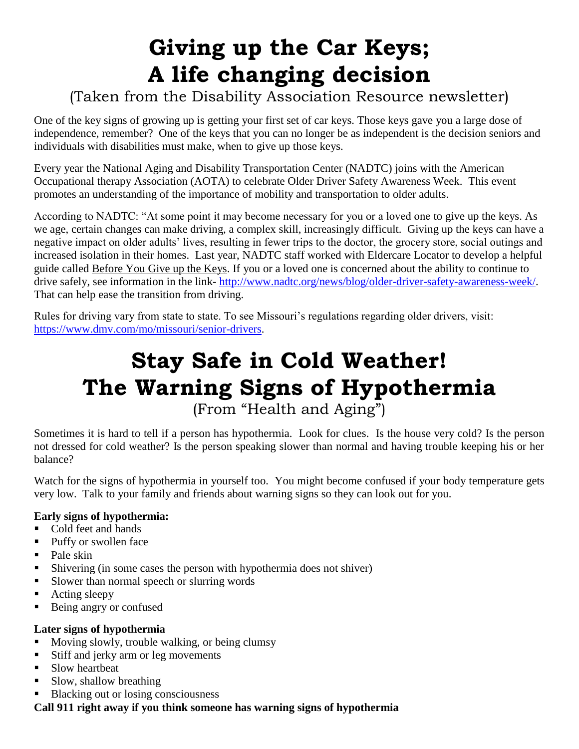## **Giving up the Car Keys; A life changing decision**

### (Taken from the Disability Association Resource newsletter)

One of the key signs of growing up is getting your first set of car keys. Those keys gave you a large dose of independence, remember? One of the keys that you can no longer be as independent is the decision seniors and individuals with disabilities must make, when to give up those keys.

Every year the National Aging and Disability Transportation Center (NADTC) joins with the American Occupational therapy Association (AOTA) to celebrate Older Driver Safety Awareness Week. This event promotes an understanding of the importance of mobility and transportation to older adults.

According to NADTC: "At some point it may become necessary for you or a loved one to give up the keys. As we age, certain changes can make driving, a complex skill, increasingly difficult. Giving up the keys can have a negative impact on older adults' lives, resulting in fewer trips to the doctor, the grocery store, social outings and increased isolation in their homes. Last year, NADTC staff worked with Eldercare Locator to develop a helpful guide called Before You Give up the Keys. If you or a loved one is concerned about the ability to continue to drive safely, see information in the link- [http://www.nadtc.org/news/blog/older-driver-safety-awareness-week/.](http://www.nadtc.org/news/blog/older-driver-safety-awareness-week/) That can help ease the transition from driving.

Rules for driving vary from state to state. To see Missouri's regulations regarding older drivers, visit: [https://www.dmv.com/mo/missouri/senior-drivers.](https://www.dmv.com/mo/missouri/senior-drivers)

### **Stay Safe in Cold Weather! The Warning Signs of Hypothermia** (From "Health and Aging")

Sometimes it is hard to tell if a person has hypothermia. Look for clues. Is the house very cold? Is the person not dressed for cold weather? Is the person speaking slower than normal and having trouble keeping his or her balance?

Watch for the signs of hypothermia in yourself too. You might become confused if your body temperature gets very low. Talk to your family and friends about warning signs so they can look out for you.

#### **Early signs of hypothermia:**

- Cold feet and hands
- Puffy or swollen face
- $\blacksquare$  Pale skin
- Shivering (in some cases the person with hypothermia does not shiver)
- Slower than normal speech or slurring words
- **Acting sleepy**
- Being angry or confused

#### **Later signs of hypothermia**

- Moving slowly, trouble walking, or being clumsy
- Stiff and jerky arm or leg movements
- Slow heartbeat
- Slow, shallow breathing
- Blacking out or losing consciousness

**Call 911 right away if you think someone has warning signs of hypothermia**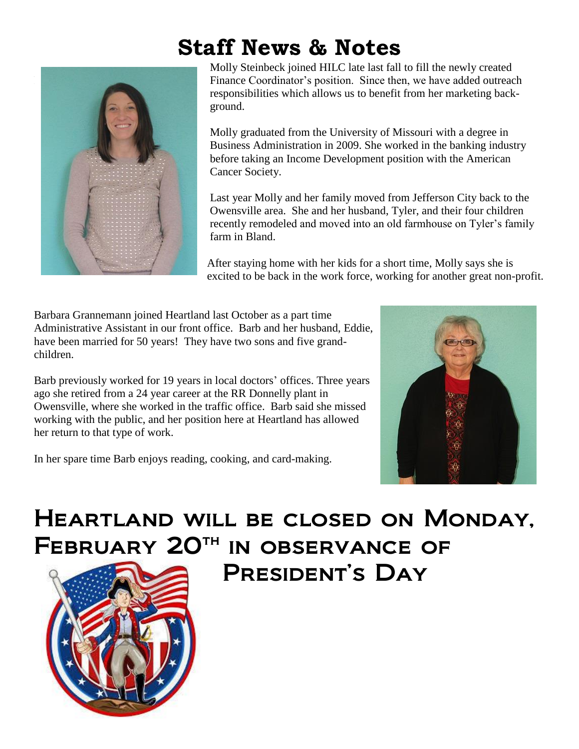## **Staff News & Notes**



Molly Steinbeck joined HILC late last fall to fill the newly created Finance Coordinator's position. Since then, we have added outreach responsibilities which allows us to benefit from her marketing back ground.

 Molly graduated from the University of Missouri with a degree in Business Administration in 2009. She worked in the banking industry before taking an Income Development position with the American Cancer Society.

 Last year Molly and her family moved from Jefferson City back to the Owensville area. She and her husband, Tyler, and their four children recently remodeled and moved into an old farmhouse on Tyler's family farm in Bland.

After staying home with her kids for a short time, Molly says she is excited to be back in the work force, working for another great non-profit.

Barbara Grannemann joined Heartland last October as a part time Administrative Assistant in our front office. Barb and her husband, Eddie, have been married for 50 years! They have two sons and five grandchildren.

Barb previously worked for 19 years in local doctors' offices. Three years ago she retired from a 24 year career at the RR Donnelly plant in Owensville, where she worked in the traffic office. Barb said she missed working with the public, and her position here at Heartland has allowed her return to that type of work.

In her spare time Barb enjoys reading, cooking, and card-making.



## Heartland will be closed on Monday, FEBRUARY 20<sup>TH</sup> IN OBSERVANCE OF President's Day